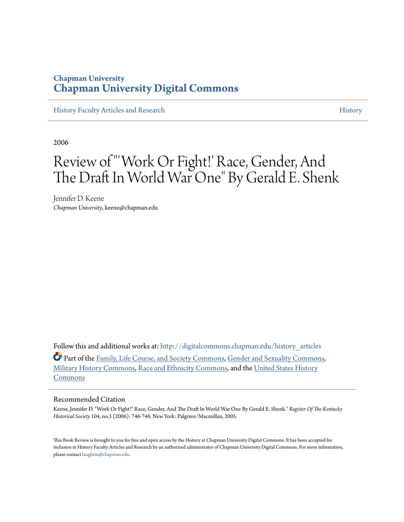# **Chapman University [Chapman University Digital Commons](http://digitalcommons.chapman.edu?utm_source=digitalcommons.chapman.edu%2Fhistory_articles%2F21&utm_medium=PDF&utm_campaign=PDFCoverPages)**

[History Faculty Articles and Research](http://digitalcommons.chapman.edu/history_articles?utm_source=digitalcommons.chapman.edu%2Fhistory_articles%2F21&utm_medium=PDF&utm_campaign=PDFCoverPages) **[History](http://digitalcommons.chapman.edu/history?utm_source=digitalcommons.chapman.edu%2Fhistory_articles%2F21&utm_medium=PDF&utm_campaign=PDFCoverPages) Faculty Articles and Research History** 

2006

# Review of "'Work Or Fight!' Race, Gender, And The Draft In World War One" By Gerald E. Shenk

Jennifer D. Keene *Chapman University*, keene@chapman.edu

Follow this and additional works at: [http://digitalcommons.chapman.edu/history\\_articles](http://digitalcommons.chapman.edu/history_articles?utm_source=digitalcommons.chapman.edu%2Fhistory_articles%2F21&utm_medium=PDF&utm_campaign=PDFCoverPages) Part of the [Family, Life Course, and Society Commons](http://network.bepress.com/hgg/discipline/419?utm_source=digitalcommons.chapman.edu%2Fhistory_articles%2F21&utm_medium=PDF&utm_campaign=PDFCoverPages), [Gender and Sexuality Commons](http://network.bepress.com/hgg/discipline/420?utm_source=digitalcommons.chapman.edu%2Fhistory_articles%2F21&utm_medium=PDF&utm_campaign=PDFCoverPages), [Military History Commons](http://network.bepress.com/hgg/discipline/504?utm_source=digitalcommons.chapman.edu%2Fhistory_articles%2F21&utm_medium=PDF&utm_campaign=PDFCoverPages), [Race and Ethnicity Commons](http://network.bepress.com/hgg/discipline/426?utm_source=digitalcommons.chapman.edu%2Fhistory_articles%2F21&utm_medium=PDF&utm_campaign=PDFCoverPages), and the [United States History](http://network.bepress.com/hgg/discipline/495?utm_source=digitalcommons.chapman.edu%2Fhistory_articles%2F21&utm_medium=PDF&utm_campaign=PDFCoverPages) [Commons](http://network.bepress.com/hgg/discipline/495?utm_source=digitalcommons.chapman.edu%2Fhistory_articles%2F21&utm_medium=PDF&utm_campaign=PDFCoverPages)

#### Recommended Citation

Keene, Jennifer D. "Work Or Fight!" Race, Gender, And The Draft In World War One By Gerald E. Shenk." *Register Of The Kentucky Historical Society* 104, no.3 (2006): 746-748. New York: Palgrave/Macmillan, 2005.

This Book Review is brought to you for free and open access by the History at Chapman University Digital Commons. It has been accepted for inclusion in History Faculty Articles and Research by an authorized administrator of Chapman University Digital Commons. For more information, please contact [laughtin@chapman.edu.](mailto:laughtin@chapman.edu)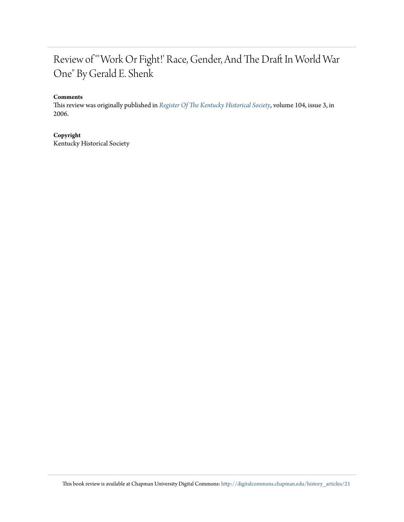# Review of "'Work Or Fight!' Race, Gender, And The Draft In World War One" By Gerald E. Shenk

## **Comments**

This review was originally published in *[Register Of The Kentucky Historical Society](http://history.ky.gov/the-register-of-the-kentucky-historical-society/)*, volume 104, issue 3, in 2006.

### **Copyright**

Kentucky Historical Society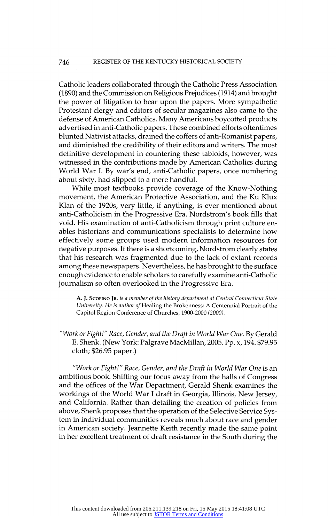"Work or Fight!" Race, Gender, and the Draft in World War One. By Gerald E. Sherik. (New York: Palgrave MacMillan, 2005. Pp. x, 194. \$79.95 cloth; \$26.95 paper.)

'Work or Fight!" Race, Gender, and the Draft in World War One is an ambitious book. Shifting our focus away from the halls of Congress and the offices of the War Department, Gerald Shenk examines the workings of the World War I draft in Georgia, Illinois, New Jersey, and California. Rather than detailing the creation of policies from above, Shenk proposes that the operation of the Selective Service Sys tem in individual communities reveals much about race and gender in American society. Jeannette Keith recently made the same point in her excellent treatment of draft resistance in the South during the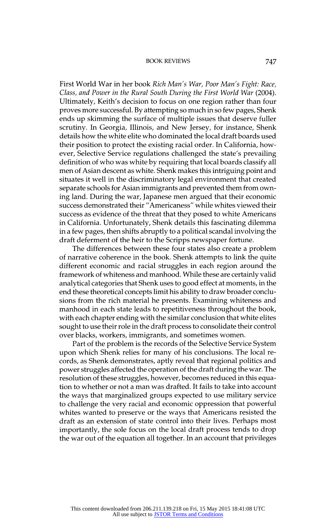#### BOOK REVIEWS 747

First World War in her book Rich Man's War, Poor Man's Fight: Race, Class, and Power in the Rural South During the First World War (2004). Ultimately, Keith's decision to focus on one region rather than four proves more successful. By attempting so much in so few pages, Shenk ends up skimming the surface of multiple issues that deserve fuller scrutiny. In Georgia, Illinois, and New Jersey, for instance, Shenk details how the white elite who dominated the local draft boards used their position to protect the existing racial order. In California, how ever, Selective Service regulations challenged the state's prevailing definition of who was white by requiring that local boards classify all men of Asian descent as white. Shenk makes this intriguing point and situates it well in the discriminatory legal environment that created separate schools for Asian immigrants and prevented them from own ing land. During the war, Japanese men argued that their economic success demonstrated their " Americaness" while whites viewed their success as evidence of the threat that they posed to white Americans in California. Unfortunately, Shenk details this fascinating dilemma in a few pages, then shifts abruptly to a political scandal involving the draft deferment of the heir to the Scripps newspaper fortune.

The differences between these four states also create a problem of narrative coherence in the book. Shenk attempts to link the quite different economic and racial struggles in each region around the framework of whiteness and manhood. While these are certainly valid analytical categories that Shenk uses to good effect at moments, in the end these theoretical concepts limit his ability to draw broader conclu sions from the rich material he presents. Examining whiteness and manhood in each state leads to repetitiveness throughout the book, with each chapter ending with the similar conclusion that white elites sought to use their role in the draft process to consolidate their control over blacks, workers, immigrants, and sometimes women.

Part of the problem is the records of the Selective Service System upon which Shenk relies for many of his conclusions. The local re cords, as Shenk demonstrates, aptly reveal that regional politics and power struggles affected the operation of the draft during the war. The resolution of these struggles, however, becomes reduced in this equa tion to whether or not a man was drafted. It fails to take into account the ways that marginalized groups expected to use military service to challenge the very racial and economic oppression that power whites wanted to preserve or the ways that Americans resisted the draft as an extension of state control into their lives. Perhaps most importantly, the sole focus on the local draft process tends to drop the war out of the equation all together. In an account that privileges